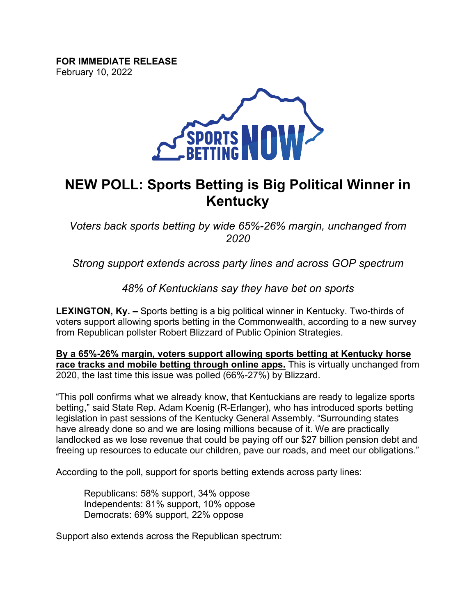**FOR IMMEDIATE RELEASE** February 10, 2022



# **NEW POLL: Sports Betting is Big Political Winner in Kentucky**

*Voters back sports betting by wide 65%-26% margin, unchanged from 2020*

*Strong support extends across party lines and across GOP spectrum*

*48% of Kentuckians say they have bet on sports*

**LEXINGTON, Ky. –** Sports betting is a big political winner in Kentucky. Two-thirds of voters support allowing sports betting in the Commonwealth, according to a new survey from Republican pollster Robert Blizzard of Public Opinion Strategies.

**By a 65%-26% margin, voters support allowing sports betting at Kentucky horse race tracks and mobile betting through online apps.** This is virtually unchanged from 2020, the last time this issue was polled (66%-27%) by Blizzard.

"This poll confirms what we already know, that Kentuckians are ready to legalize sports betting," said State Rep. Adam Koenig (R-Erlanger), who has introduced sports betting legislation in past sessions of the Kentucky General Assembly. "Surrounding states have already done so and we are losing millions because of it. We are practically landlocked as we lose revenue that could be paying off our \$27 billion pension debt and freeing up resources to educate our children, pave our roads, and meet our obligations."

According to the poll, support for sports betting extends across party lines:

Republicans: 58% support, 34% oppose Independents: 81% support, 10% oppose Democrats: 69% support, 22% oppose

Support also extends across the Republican spectrum: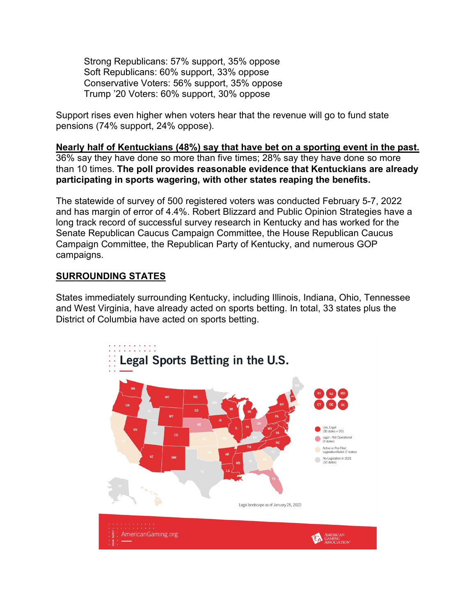Strong Republicans: 57% support, 35% oppose Soft Republicans: 60% support, 33% oppose Conservative Voters: 56% support, 35% oppose Trump '20 Voters: 60% support, 30% oppose

Support rises even higher when voters hear that the revenue will go to fund state pensions (74% support, 24% oppose).

**Nearly half of Kentuckians (48%) say that have bet on a sporting event in the past.** 36% say they have done so more than five times; 28% say they have done so more than 10 times. **The poll provides reasonable evidence that Kentuckians are already participating in sports wagering, with other states reaping the benefits.**

The statewide of survey of 500 registered voters was conducted February 5-7, 2022 and has margin of error of 4.4%. Robert Blizzard and Public Opinion Strategies have a long track record of successful survey research in Kentucky and has worked for the Senate Republican Caucus Campaign Committee, the House Republican Caucus Campaign Committee, the Republican Party of Kentucky, and numerous GOP campaigns.

## **SURROUNDING STATES**

States immediately surrounding Kentucky, including Illinois, Indiana, Ohio, Tennessee and West Virginia, have already acted on sports betting. In total, 33 states plus the District of Columbia have acted on sports betting.

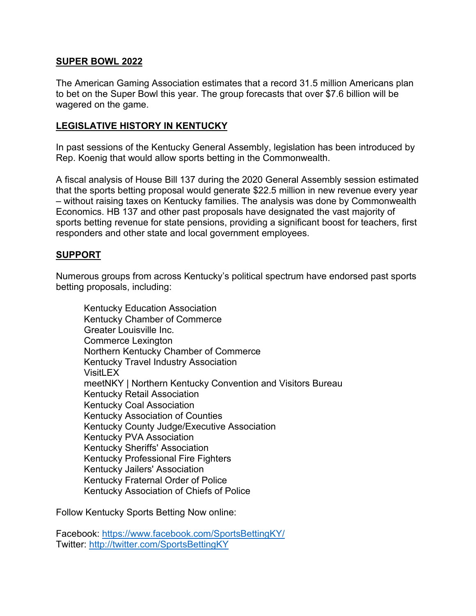### **SUPER BOWL 2022**

The American Gaming Association estimates that a record 31.5 million Americans plan to bet on the Super Bowl this year. The group forecasts that over \$7.6 billion will be wagered on the game.

## **LEGISLATIVE HISTORY IN KENTUCKY**

In past sessions of the Kentucky General Assembly, legislation has been introduced by Rep. Koenig that would allow sports betting in the Commonwealth.

A fiscal analysis of House Bill 137 during the 2020 General Assembly session estimated that the sports betting proposal would generate \$22.5 million in new revenue every year – without raising taxes on Kentucky families. The analysis was done by Commonwealth Economics. HB 137 and other past proposals have designated the vast majority of sports betting revenue for state pensions, providing a significant boost for teachers, first responders and other state and local government employees.

#### **SUPPORT**

Numerous groups from across Kentucky's political spectrum have endorsed past sports betting proposals, including:

Kentucky Education Association Kentucky Chamber of Commerce Greater Louisville Inc. Commerce Lexington Northern Kentucky Chamber of Commerce Kentucky Travel Industry Association VisitLEX meetNKY | Northern Kentucky Convention and Visitors Bureau Kentucky Retail Association Kentucky Coal Association Kentucky Association of Counties Kentucky County Judge/Executive Association Kentucky PVA Association Kentucky Sheriffs' Association Kentucky Professional Fire Fighters Kentucky Jailers' Association Kentucky Fraternal Order of Police Kentucky Association of Chiefs of Police

Follow Kentucky Sports Betting Now online:

Facebook:<https://www.facebook.com/SportsBettingKY/> Twitter:<http://twitter.com/SportsBettingKY>